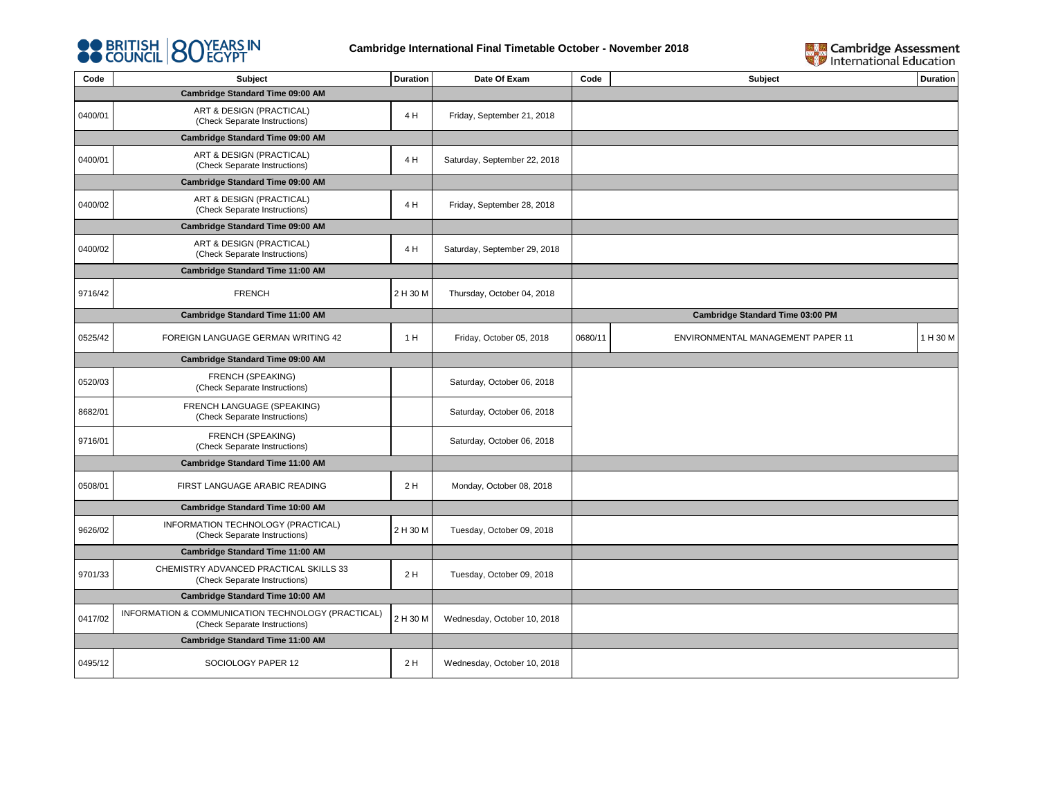



| Code                             | Subject                                                                             | Duration | Date Of Exam                 | Code    | Subject                           | <b>Duration</b> |
|----------------------------------|-------------------------------------------------------------------------------------|----------|------------------------------|---------|-----------------------------------|-----------------|
|                                  | Cambridge Standard Time 09:00 AM                                                    |          |                              |         |                                   |                 |
| 0400/01                          | ART & DESIGN (PRACTICAL)<br>(Check Separate Instructions)                           | 4 H      | Friday, September 21, 2018   |         |                                   |                 |
| Cambridge Standard Time 09:00 AM |                                                                                     |          |                              |         |                                   |                 |
| 0400/01                          | ART & DESIGN (PRACTICAL)<br>(Check Separate Instructions)                           | 4 H      | Saturday, September 22, 2018 |         |                                   |                 |
|                                  | Cambridge Standard Time 09:00 AM                                                    |          |                              |         |                                   |                 |
| 0400/02                          | ART & DESIGN (PRACTICAL)<br>(Check Separate Instructions)                           | 4 H      | Friday, September 28, 2018   |         |                                   |                 |
|                                  | Cambridge Standard Time 09:00 AM                                                    |          |                              |         |                                   |                 |
| 0400/02                          | ART & DESIGN (PRACTICAL)<br>(Check Separate Instructions)                           | 4 H      | Saturday, September 29, 2018 |         |                                   |                 |
|                                  | <b>Cambridge Standard Time 11:00 AM</b>                                             |          |                              |         |                                   |                 |
| 9716/42                          | <b>FRENCH</b>                                                                       | 2 H 30 M | Thursday, October 04, 2018   |         |                                   |                 |
|                                  | Cambridge Standard Time 11:00 AM                                                    |          |                              |         | Cambridge Standard Time 03:00 PM  |                 |
| 0525/42                          | FOREIGN LANGUAGE GERMAN WRITING 42                                                  | 1 H      | Friday, October 05, 2018     | 0680/11 | ENVIRONMENTAL MANAGEMENT PAPER 11 | 1 H 30 M        |
|                                  | Cambridge Standard Time 09:00 AM                                                    |          |                              |         |                                   |                 |
| 0520/03                          | FRENCH (SPEAKING)<br>(Check Separate Instructions)                                  |          | Saturday, October 06, 2018   |         |                                   |                 |
| 8682/01                          | FRENCH LANGUAGE (SPEAKING)<br>(Check Separate Instructions)                         |          | Saturday, October 06, 2018   |         |                                   |                 |
| 9716/01                          | FRENCH (SPEAKING)<br>(Check Separate Instructions)                                  |          | Saturday, October 06, 2018   |         |                                   |                 |
|                                  | Cambridge Standard Time 11:00 AM                                                    |          |                              |         |                                   |                 |
| 0508/01                          | FIRST LANGUAGE ARABIC READING                                                       | 2 H      | Monday, October 08, 2018     |         |                                   |                 |
|                                  | <b>Cambridge Standard Time 10:00 AM</b>                                             |          |                              |         |                                   |                 |
| 9626/02                          | INFORMATION TECHNOLOGY (PRACTICAL)<br>(Check Separate Instructions)                 | 2 H 30 M | Tuesday, October 09, 2018    |         |                                   |                 |
|                                  | Cambridge Standard Time 11:00 AM                                                    |          |                              |         |                                   |                 |
| 9701/33                          | CHEMISTRY ADVANCED PRACTICAL SKILLS 33<br>(Check Separate Instructions)             | 2H       | Tuesday, October 09, 2018    |         |                                   |                 |
| Cambridge Standard Time 10:00 AM |                                                                                     |          |                              |         |                                   |                 |
| 0417/02                          | INFORMATION & COMMUNICATION TECHNOLOGY (PRACTICAL)<br>(Check Separate Instructions) | 2 H 30 M | Wednesday, October 10, 2018  |         |                                   |                 |
|                                  | Cambridge Standard Time 11:00 AM                                                    |          |                              |         |                                   |                 |
| 0495/12                          | SOCIOLOGY PAPER 12                                                                  | 2 H      | Wednesday, October 10, 2018  |         |                                   |                 |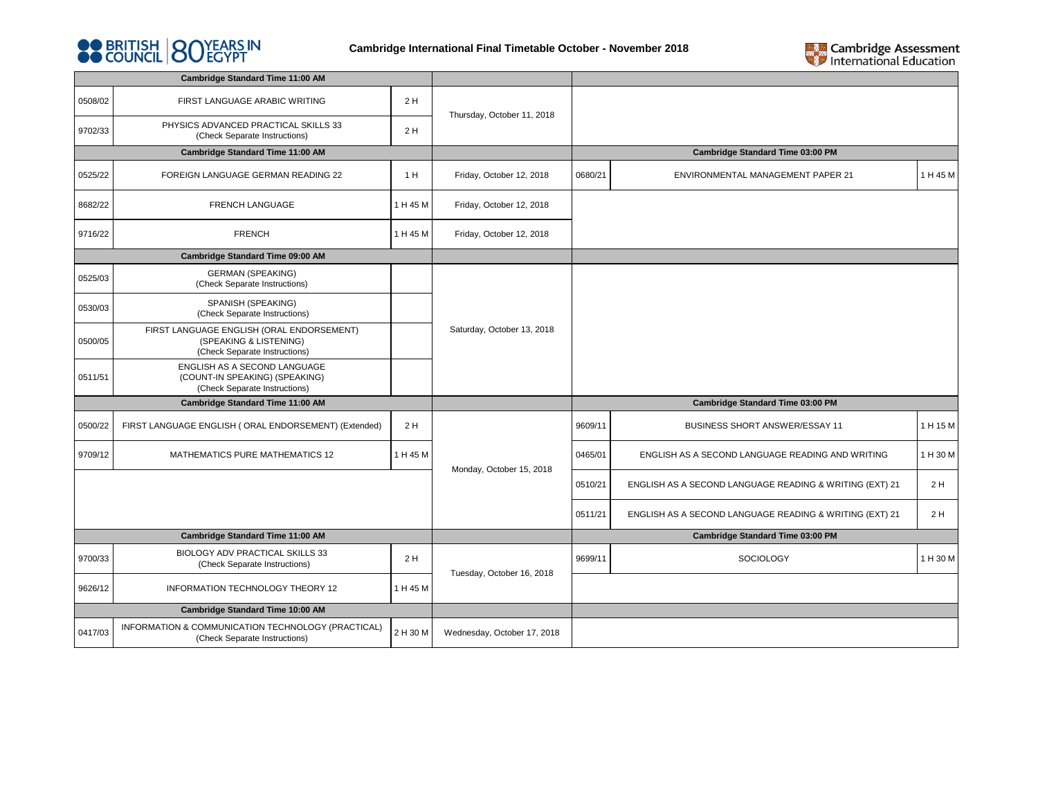



| <b>Cambridge Standard Time 11:00 AM</b> |                                                                                                      |          |                             |         |                                                                                                                                                                                                                                                                 |          |  |  |
|-----------------------------------------|------------------------------------------------------------------------------------------------------|----------|-----------------------------|---------|-----------------------------------------------------------------------------------------------------------------------------------------------------------------------------------------------------------------------------------------------------------------|----------|--|--|
| 0508/02                                 | FIRST LANGUAGE ARABIC WRITING                                                                        | 2H       | Thursday, October 11, 2018  |         |                                                                                                                                                                                                                                                                 |          |  |  |
| 9702/33                                 | PHYSICS ADVANCED PRACTICAL SKILLS 33<br>(Check Separate Instructions)                                | 2H       |                             |         |                                                                                                                                                                                                                                                                 |          |  |  |
|                                         | <b>Cambridge Standard Time 11:00 AM</b>                                                              |          |                             |         | <b>Cambridge Standard Time 03:00 PM</b><br>1 H 45 M<br><b>ENVIRONMENTAL MANAGEMENT PAPER 21</b><br><b>Cambridge Standard Time 03:00 PM</b><br><b>BUSINESS SHORT ANSWER/ESSAY 11</b><br>1 H 15 M<br>ENGLISH AS A SECOND LANGUAGE READING AND WRITING<br>1 H 30 M |          |  |  |
| 0525/22                                 | FOREIGN LANGUAGE GERMAN READING 22                                                                   | 1 H      | Friday, October 12, 2018    | 0680/21 |                                                                                                                                                                                                                                                                 |          |  |  |
| 8682/22                                 | FRENCH LANGUAGE                                                                                      | 1 H 45 M | Friday, October 12, 2018    |         |                                                                                                                                                                                                                                                                 |          |  |  |
| 9716/22                                 | <b>FRENCH</b>                                                                                        | 1 H 45 M | Friday, October 12, 2018    |         |                                                                                                                                                                                                                                                                 |          |  |  |
|                                         | Cambridge Standard Time 09:00 AM                                                                     |          |                             |         |                                                                                                                                                                                                                                                                 |          |  |  |
| 0525/03                                 | <b>GERMAN (SPEAKING)</b><br>(Check Separate Instructions)                                            |          |                             |         |                                                                                                                                                                                                                                                                 |          |  |  |
| 0530/03                                 | SPANISH (SPEAKING)<br>(Check Separate Instructions)                                                  |          |                             |         |                                                                                                                                                                                                                                                                 |          |  |  |
| 0500/05                                 | FIRST LANGUAGE ENGLISH (ORAL ENDORSEMENT)<br>(SPEAKING & LISTENING)<br>(Check Separate Instructions) |          | Saturday, October 13, 2018  |         |                                                                                                                                                                                                                                                                 |          |  |  |
| 0511/51                                 | ENGLISH AS A SECOND LANGUAGE<br>(COUNT-IN SPEAKING) (SPEAKING)<br>(Check Separate Instructions)      |          |                             |         |                                                                                                                                                                                                                                                                 |          |  |  |
|                                         | Cambridge Standard Time 11:00 AM                                                                     |          |                             |         |                                                                                                                                                                                                                                                                 |          |  |  |
| 0500/22                                 | FIRST LANGUAGE ENGLISH (ORAL ENDORSEMENT) (Extended)                                                 | 2H       |                             | 9609/11 |                                                                                                                                                                                                                                                                 |          |  |  |
| 9709/12                                 | MATHEMATICS PURE MATHEMATICS 12                                                                      | 1 H 45 M | Monday, October 15, 2018    | 0465/01 |                                                                                                                                                                                                                                                                 |          |  |  |
|                                         |                                                                                                      |          |                             | 0510/21 | ENGLISH AS A SECOND LANGUAGE READING & WRITING (EXT) 21                                                                                                                                                                                                         | 2 H      |  |  |
|                                         |                                                                                                      |          |                             | 0511/21 | ENGLISH AS A SECOND LANGUAGE READING & WRITING (EXT) 21                                                                                                                                                                                                         | 2H       |  |  |
|                                         | <b>Cambridge Standard Time 11:00 AM</b>                                                              |          |                             |         | <b>Cambridge Standard Time 03:00 PM</b>                                                                                                                                                                                                                         |          |  |  |
| 9700/33                                 | BIOLOGY ADV PRACTICAL SKILLS 33<br>(Check Separate Instructions)                                     | 2H       | Tuesday, October 16, 2018   | 9699/11 | <b>SOCIOLOGY</b>                                                                                                                                                                                                                                                | 1 H 30 M |  |  |
| 9626/12                                 | INFORMATION TECHNOLOGY THEORY 12                                                                     | 1 H 45 M |                             |         |                                                                                                                                                                                                                                                                 |          |  |  |
|                                         | <b>Cambridge Standard Time 10:00 AM</b>                                                              |          |                             |         |                                                                                                                                                                                                                                                                 |          |  |  |
| 0417/03                                 | INFORMATION & COMMUNICATION TECHNOLOGY (PRACTICAL)<br>(Check Separate Instructions)                  | 2 H 30 M | Wednesday, October 17, 2018 |         |                                                                                                                                                                                                                                                                 |          |  |  |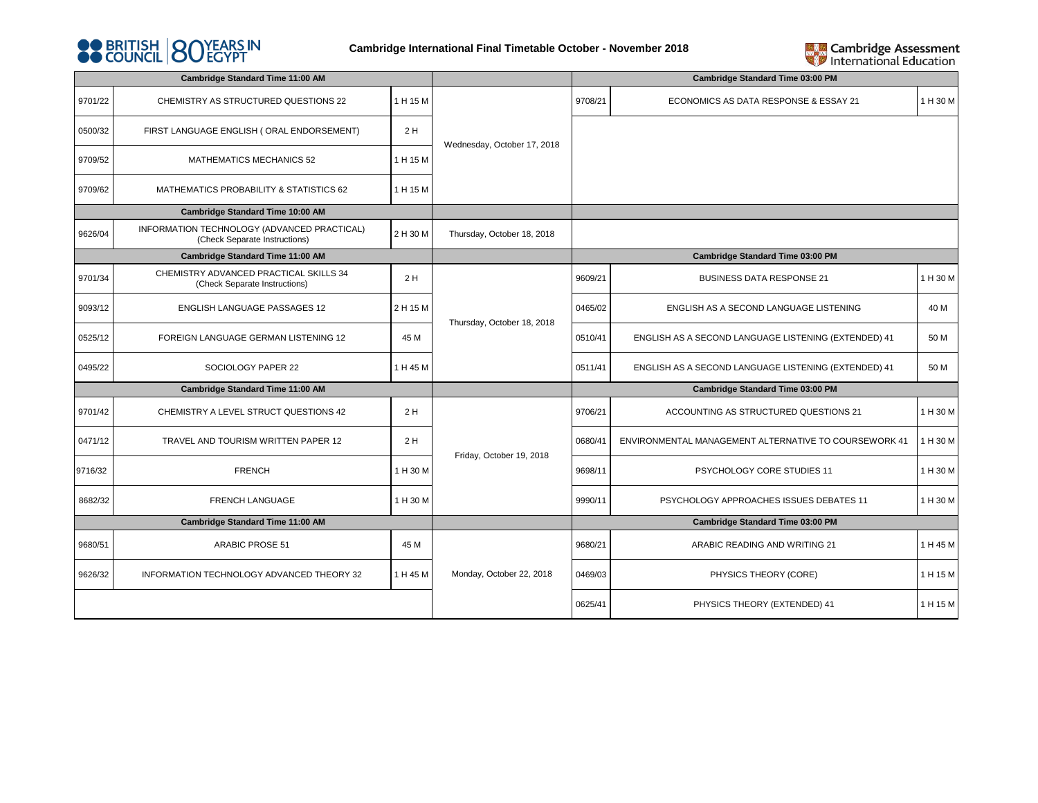



| Cambridge Standard Time 11:00 AM |                                                                              |          |                             |         | <b>Cambridge Standard Time 03:00 PM</b>               |          |
|----------------------------------|------------------------------------------------------------------------------|----------|-----------------------------|---------|-------------------------------------------------------|----------|
| 9701/22                          | CHEMISTRY AS STRUCTURED QUESTIONS 22                                         | 1 H 15 M |                             | 9708/21 | ECONOMICS AS DATA RESPONSE & ESSAY 21                 | 1 H 30 M |
| 0500/32                          | FIRST LANGUAGE ENGLISH (ORAL ENDORSEMENT)                                    | 2H       |                             |         |                                                       |          |
| 9709/52                          | MATHEMATICS MECHANICS 52                                                     | 1 H 15 M | Wednesday, October 17, 2018 |         |                                                       |          |
| 9709/62                          | MATHEMATICS PROBABILITY & STATISTICS 62                                      | 1 H 15 M |                             |         |                                                       |          |
|                                  | Cambridge Standard Time 10:00 AM                                             |          |                             |         |                                                       |          |
| 9626/04                          | INFORMATION TECHNOLOGY (ADVANCED PRACTICAL)<br>(Check Separate Instructions) | 2 H 30 M | Thursday, October 18, 2018  |         |                                                       |          |
|                                  | Cambridge Standard Time 11:00 AM                                             |          |                             |         | <b>Cambridge Standard Time 03:00 PM</b>               |          |
| 9701/34                          | CHEMISTRY ADVANCED PRACTICAL SKILLS 34<br>(Check Separate Instructions)      | 2H       |                             | 9609/21 | <b>BUSINESS DATA RESPONSE 21</b>                      | 1 H 30 M |
| 9093/12                          | <b>ENGLISH LANGUAGE PASSAGES 12</b>                                          | 2 H 15 M |                             | 0465/02 | ENGLISH AS A SECOND LANGUAGE LISTENING                | 40 M     |
| 0525/12                          | FOREIGN LANGUAGE GERMAN LISTENING 12                                         | 45 M     | Thursday, October 18, 2018  | 0510/41 | ENGLISH AS A SECOND LANGUAGE LISTENING (EXTENDED) 41  | 50 M     |
| 0495/22                          | SOCIOLOGY PAPER 22                                                           | 1 H 45 M |                             | 0511/41 | ENGLISH AS A SECOND LANGUAGE LISTENING (EXTENDED) 41  | 50 M     |
| Cambridge Standard Time 11:00 AM |                                                                              |          |                             |         | Cambridge Standard Time 03:00 PM                      |          |
| 9701/42                          | CHEMISTRY A LEVEL STRUCT QUESTIONS 42                                        | 2H       |                             | 9706/21 | ACCOUNTING AS STRUCTURED QUESTIONS 21                 | 1 H 30 M |
| 0471/12                          | TRAVEL AND TOURISM WRITTEN PAPER 12                                          | 2H       | Friday, October 19, 2018    | 0680/41 | ENVIRONMENTAL MANAGEMENT ALTERNATIVE TO COURSEWORK 41 | 1 H 30 M |
| 9716/32                          | <b>FRENCH</b>                                                                | 1 H 30 M |                             | 9698/11 | PSYCHOLOGY CORE STUDIES 11                            | 1 H 30 M |
| 8682/32                          | FRENCH LANGUAGE                                                              | 1 H 30 M |                             | 9990/11 | PSYCHOLOGY APPROACHES ISSUES DEBATES 11               | 1 H 30 M |
| Cambridge Standard Time 11:00 AM |                                                                              |          |                             |         | <b>Cambridge Standard Time 03:00 PM</b>               |          |
| 9680/51                          | <b>ARABIC PROSE 51</b>                                                       | 45 M     |                             | 9680/21 | ARABIC READING AND WRITING 21                         | 1 H 45 M |
| 9626/32                          | INFORMATION TECHNOLOGY ADVANCED THEORY 32                                    | 1 H 45 M | Monday, October 22, 2018    | 0469/03 | PHYSICS THEORY (CORE)                                 | 1 H 15 M |
|                                  |                                                                              |          |                             | 0625/41 | PHYSICS THEORY (EXTENDED) 41                          | 1 H 15 M |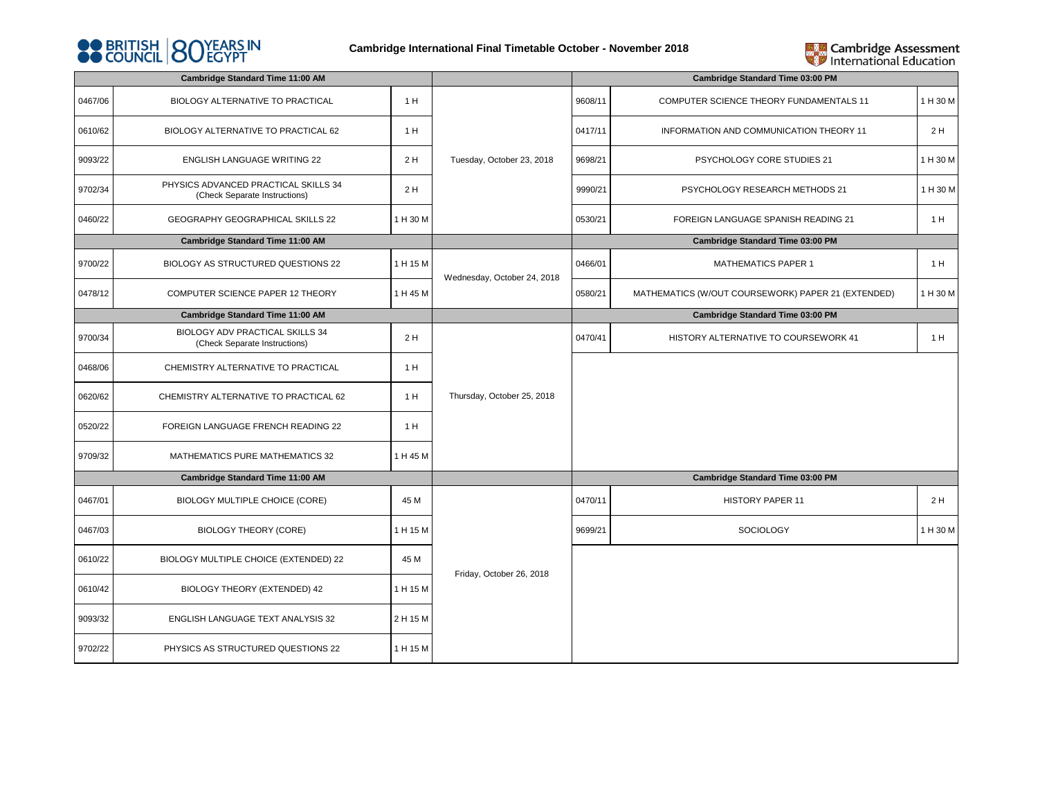



| <b>Cambridge Standard Time 11:00 AM</b> |                                                                       |          |                             |         | <b>Cambridge Standard Time 03:00 PM</b>                                         |          |  |  |
|-----------------------------------------|-----------------------------------------------------------------------|----------|-----------------------------|---------|---------------------------------------------------------------------------------|----------|--|--|
| 0467/06                                 | BIOLOGY ALTERNATIVE TO PRACTICAL                                      | 1 H      |                             | 9608/11 | COMPUTER SCIENCE THEORY FUNDAMENTALS 11                                         | 1 H 30 M |  |  |
| 0610/62                                 | BIOLOGY ALTERNATIVE TO PRACTICAL 62                                   | 1 H      |                             | 0417/11 | INFORMATION AND COMMUNICATION THEORY 11                                         | 2 H      |  |  |
| 9093/22                                 | ENGLISH LANGUAGE WRITING 22                                           | 2 H      | Tuesday, October 23, 2018   | 9698/21 | PSYCHOLOGY CORE STUDIES 21                                                      | 1 H 30 M |  |  |
| 9702/34                                 | PHYSICS ADVANCED PRACTICAL SKILLS 34<br>(Check Separate Instructions) | 2H       |                             | 9990/21 | PSYCHOLOGY RESEARCH METHODS 21                                                  | 1 H 30 M |  |  |
| 0460/22                                 | GEOGRAPHY GEOGRAPHICAL SKILLS 22                                      | 1 H 30 M |                             | 0530/21 | FOREIGN LANGUAGE SPANISH READING 21                                             | 1H       |  |  |
|                                         | <b>Cambridge Standard Time 11:00 AM</b>                               |          |                             |         | <b>Cambridge Standard Time 03:00 PM</b>                                         |          |  |  |
| 9700/22                                 | BIOLOGY AS STRUCTURED QUESTIONS 22                                    | 1 H 15 M | Wednesday, October 24, 2018 | 0466/01 | <b>MATHEMATICS PAPER 1</b>                                                      | 1 H      |  |  |
| 0478/12                                 | COMPUTER SCIENCE PAPER 12 THEORY                                      | 1 H 45 M |                             | 0580/21 | MATHEMATICS (W/OUT COURSEWORK) PAPER 21 (EXTENDED)                              | 1 H 30 M |  |  |
| <b>Cambridge Standard Time 11:00 AM</b> |                                                                       |          |                             |         | <b>Cambridge Standard Time 03:00 PM</b><br>HISTORY ALTERNATIVE TO COURSEWORK 41 |          |  |  |
| 9700/34                                 | BIOLOGY ADV PRACTICAL SKILLS 34<br>(Check Separate Instructions)      | 2H       | Thursday, October 25, 2018  | 0470/41 |                                                                                 | 1H       |  |  |
| 0468/06                                 | CHEMISTRY ALTERNATIVE TO PRACTICAL                                    | 1 H      |                             |         |                                                                                 |          |  |  |
| 0620/62                                 | CHEMISTRY ALTERNATIVE TO PRACTICAL 62                                 | 1 H      |                             |         |                                                                                 |          |  |  |
| 0520/22                                 | FOREIGN LANGUAGE FRENCH READING 22                                    | 1 H      |                             |         |                                                                                 |          |  |  |
| 9709/32                                 | MATHEMATICS PURE MATHEMATICS 32                                       | 1 H 45 M |                             |         |                                                                                 |          |  |  |
|                                         | Cambridge Standard Time 11:00 AM                                      |          |                             |         | <b>Cambridge Standard Time 03:00 PM</b>                                         |          |  |  |
| 0467/01                                 | BIOLOGY MULTIPLE CHOICE (CORE)                                        | 45 M     |                             | 0470/11 | HISTORY PAPER 11                                                                | 2H       |  |  |
| 0467/03                                 | <b>BIOLOGY THEORY (CORE)</b>                                          | 1 H 15 M |                             | 9699/21 | <b>SOCIOLOGY</b>                                                                | 1 H 30 M |  |  |
| 0610/22                                 | BIOLOGY MULTIPLE CHOICE (EXTENDED) 22                                 | 45 M     | Friday, October 26, 2018    |         |                                                                                 |          |  |  |
| 0610/42                                 | BIOLOGY THEORY (EXTENDED) 42                                          | 1 H 15 M |                             |         |                                                                                 |          |  |  |
| 9093/32                                 | ENGLISH LANGUAGE TEXT ANALYSIS 32                                     | 2 H 15 M |                             |         |                                                                                 |          |  |  |
| 9702/22                                 | PHYSICS AS STRUCTURED QUESTIONS 22                                    | 1 H 15 M |                             |         |                                                                                 |          |  |  |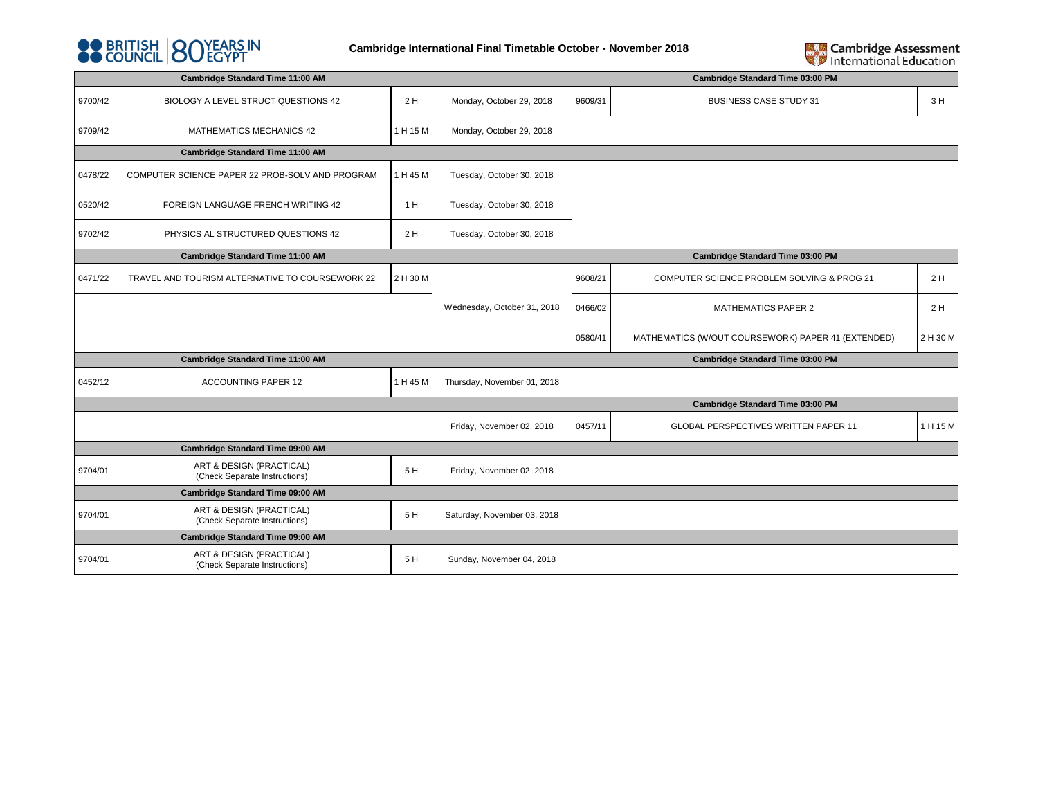



| Cambridge Standard Time 11:00 AM                          |          |                             | <b>Cambridge Standard Time 03:00 PM</b> |                                                    |          |
|-----------------------------------------------------------|----------|-----------------------------|-----------------------------------------|----------------------------------------------------|----------|
| BIOLOGY A LEVEL STRUCT QUESTIONS 42                       | 2H       | Monday, October 29, 2018    | 9609/31                                 | <b>BUSINESS CASE STUDY 31</b>                      | 3H       |
| MATHEMATICS MECHANICS 42                                  | 1 H 15 M | Monday, October 29, 2018    |                                         |                                                    |          |
| Cambridge Standard Time 11:00 AM                          |          |                             |                                         |                                                    |          |
| COMPUTER SCIENCE PAPER 22 PROB-SOLV AND PROGRAM           | 1 H 45 M | Tuesday, October 30, 2018   |                                         |                                                    |          |
| FOREIGN LANGUAGE FRENCH WRITING 42                        | 1 H      | Tuesday, October 30, 2018   |                                         |                                                    |          |
| PHYSICS AL STRUCTURED QUESTIONS 42                        | 2 H      | Tuesday, October 30, 2018   |                                         |                                                    |          |
| Cambridge Standard Time 11:00 AM                          |          |                             | <b>Cambridge Standard Time 03:00 PM</b> |                                                    |          |
| TRAVEL AND TOURISM ALTERNATIVE TO COURSEWORK 22           | 2 H 30 M |                             | 9608/21                                 | COMPUTER SCIENCE PROBLEM SOLVING & PROG 21         | 2H       |
|                                                           |          | Wednesday, October 31, 2018 | 0466/02                                 | <b>MATHEMATICS PAPER 2</b>                         | 2H       |
|                                                           |          |                             | 0580/41                                 | MATHEMATICS (W/OUT COURSEWORK) PAPER 41 (EXTENDED) | 2 H 30 M |
| Cambridge Standard Time 11:00 AM                          |          |                             |                                         | <b>Cambridge Standard Time 03:00 PM</b>            |          |
| <b>ACCOUNTING PAPER 12</b>                                | 1 H 45 M | Thursday, November 01, 2018 |                                         |                                                    |          |
|                                                           |          |                             |                                         | <b>Cambridge Standard Time 03:00 PM</b>            |          |
|                                                           |          | Friday, November 02, 2018   | 0457/11                                 | GLOBAL PERSPECTIVES WRITTEN PAPER 11               | 1 H 15 M |
| Cambridge Standard Time 09:00 AM                          |          |                             |                                         |                                                    |          |
| ART & DESIGN (PRACTICAL)<br>(Check Separate Instructions) | 5H       | Friday, November 02, 2018   |                                         |                                                    |          |
| Cambridge Standard Time 09:00 AM                          |          |                             |                                         |                                                    |          |
| ART & DESIGN (PRACTICAL)<br>(Check Separate Instructions) | 5H       | Saturday, November 03, 2018 |                                         |                                                    |          |
| Cambridge Standard Time 09:00 AM                          |          |                             |                                         |                                                    |          |
| ART & DESIGN (PRACTICAL)<br>(Check Separate Instructions) | 5H       | Sunday, November 04, 2018   |                                         |                                                    |          |
|                                                           |          |                             |                                         |                                                    |          |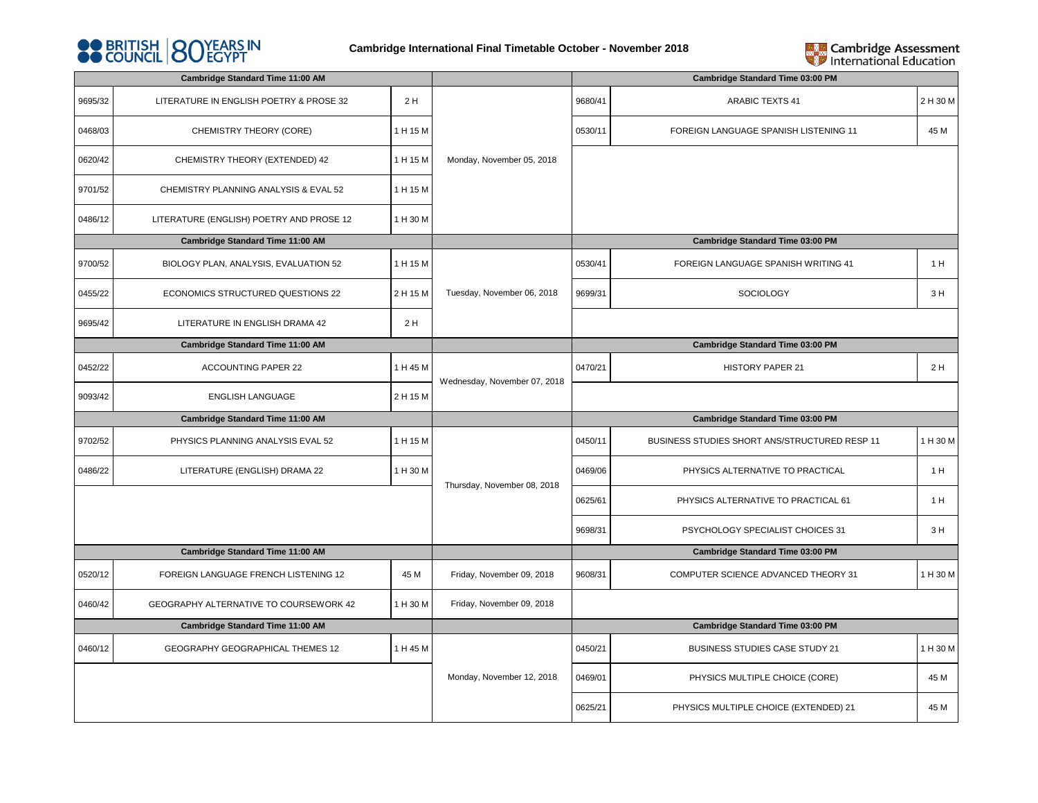



|                                         | <b>Cambridge Standard Time 11:00 AM</b>  |          |                              |         | Cambridge Standard Time 03:00 PM                                                                                                                              |          |  |  |  |
|-----------------------------------------|------------------------------------------|----------|------------------------------|---------|---------------------------------------------------------------------------------------------------------------------------------------------------------------|----------|--|--|--|
| 9695/32                                 | LITERATURE IN ENGLISH POETRY & PROSE 32  | 2H       |                              | 9680/41 | <b>ARABIC TEXTS 41</b>                                                                                                                                        | 2 H 30 M |  |  |  |
| 0468/03                                 | CHEMISTRY THEORY (CORE)                  | 1 H 15 M |                              | 0530/11 | FOREIGN LANGUAGE SPANISH LISTENING 11                                                                                                                         | 45 M     |  |  |  |
| 0620/42                                 | CHEMISTRY THEORY (EXTENDED) 42           | 1 H 15 M | Monday, November 05, 2018    |         |                                                                                                                                                               |          |  |  |  |
| 9701/52                                 | CHEMISTRY PLANNING ANALYSIS & EVAL 52    | 1 H 15 M |                              |         |                                                                                                                                                               |          |  |  |  |
| 0486/12                                 | LITERATURE (ENGLISH) POETRY AND PROSE 12 | 1 H 30 M |                              |         |                                                                                                                                                               |          |  |  |  |
|                                         | <b>Cambridge Standard Time 11:00 AM</b>  |          |                              |         | <b>Cambridge Standard Time 03:00 PM</b>                                                                                                                       |          |  |  |  |
| 9700/52                                 | BIOLOGY PLAN, ANALYSIS, EVALUATION 52    | 1 H 15 M |                              | 0530/41 | FOREIGN LANGUAGE SPANISH WRITING 41                                                                                                                           | 1 H      |  |  |  |
| 0455/22                                 | ECONOMICS STRUCTURED QUESTIONS 22        | 2 H 15 M | Tuesday, November 06, 2018   | 9699/31 | <b>SOCIOLOGY</b>                                                                                                                                              | 3H       |  |  |  |
| 9695/42                                 | LITERATURE IN ENGLISH DRAMA 42           | 2H       |                              |         |                                                                                                                                                               |          |  |  |  |
| <b>Cambridge Standard Time 11:00 AM</b> |                                          |          |                              |         | <b>Cambridge Standard Time 03:00 PM</b><br>HISTORY PAPER 21<br>2H<br><b>Cambridge Standard Time 03:00 PM</b><br>BUSINESS STUDIES SHORT ANS/STRUCTURED RESP 11 |          |  |  |  |
| 0452/22                                 | ACCOUNTING PAPER 22                      | 1 H 45 M | Wednesday, November 07, 2018 | 0470/21 |                                                                                                                                                               |          |  |  |  |
| 9093/42                                 | <b>ENGLISH LANGUAGE</b>                  | 2 H 15 M |                              |         |                                                                                                                                                               |          |  |  |  |
|                                         | <b>Cambridge Standard Time 11:00 AM</b>  |          |                              |         | 1 H 30 M                                                                                                                                                      |          |  |  |  |
| 9702/52                                 | PHYSICS PLANNING ANALYSIS EVAL 52        | 1 H 15 M |                              | 0450/11 |                                                                                                                                                               |          |  |  |  |
| 0486/22                                 | LITERATURE (ENGLISH) DRAMA 22            | 1 H 30 M | Thursday, November 08, 2018  | 0469/06 | PHYSICS ALTERNATIVE TO PRACTICAL                                                                                                                              | 1H       |  |  |  |
|                                         |                                          |          |                              | 0625/61 | PHYSICS ALTERNATIVE TO PRACTICAL 61                                                                                                                           | 1 H      |  |  |  |
|                                         |                                          |          |                              | 9698/31 | PSYCHOLOGY SPECIALIST CHOICES 31                                                                                                                              | 3H       |  |  |  |
|                                         | <b>Cambridge Standard Time 11:00 AM</b>  |          |                              |         | <b>Cambridge Standard Time 03:00 PM</b>                                                                                                                       |          |  |  |  |
| 0520/12                                 | FOREIGN LANGUAGE FRENCH LISTENING 12     | 45 M     | Friday, November 09, 2018    | 9608/31 | COMPUTER SCIENCE ADVANCED THEORY 31                                                                                                                           | 1 H 30 M |  |  |  |
| 0460/42                                 | GEOGRAPHY ALTERNATIVE TO COURSEWORK 42   | 1 H 30 M | Friday, November 09, 2018    |         |                                                                                                                                                               |          |  |  |  |
|                                         | Cambridge Standard Time 11:00 AM         |          |                              |         | Cambridge Standard Time 03:00 PM                                                                                                                              |          |  |  |  |
| 0460/12                                 | GEOGRAPHY GEOGRAPHICAL THEMES 12         | 1 H 45 M |                              | 0450/21 | BUSINESS STUDIES CASE STUDY 21                                                                                                                                | 1 H 30 M |  |  |  |
|                                         |                                          |          | Monday, November 12, 2018    | 0469/01 | PHYSICS MULTIPLE CHOICE (CORE)                                                                                                                                | 45 M     |  |  |  |
|                                         |                                          |          |                              | 0625/21 | PHYSICS MULTIPLE CHOICE (EXTENDED) 21                                                                                                                         | 45 M     |  |  |  |